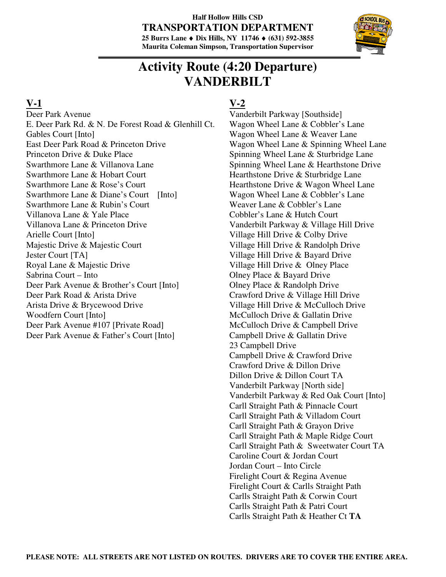

## **Activity Route (4:20 Departure) VANDERBILT**

#### **V-1**

Deer Park Avenue E. Deer Park Rd. & N. De Forest Road & Glenhill Ct. Gables Court [Into] East Deer Park Road & Princeton Drive Princeton Drive & Duke Place Swarthmore Lane & Villanova Lane Swarthmore Lane & Hobart Court Swarthmore Lane & Rose's Court Swarthmore Lane & Diane's Court [Into] Swarthmore Lane & Rubin's Court Villanova Lane & Yale Place Villanova Lane & Princeton Drive Arielle Court [Into] Majestic Drive & Majestic Court Jester Court [TA] Royal Lane & Majestic Drive Sabrina Court – Into Deer Park Avenue & Brother's Court [Into] Deer Park Road & Arista Drive Arista Drive & Brycewood Drive Woodfern Court [Into] Deer Park Avenue #107 [Private Road] Deer Park Avenue & Father's Court [Into]

## **V-2**

Vanderbilt Parkway [Southside] Wagon Wheel Lane & Cobbler's Lane Wagon Wheel Lane & Weaver Lane Wagon Wheel Lane & Spinning Wheel Lane Spinning Wheel Lane & Sturbridge Lane Spinning Wheel Lane & Hearthstone Drive Hearthstone Drive & Sturbridge Lane Hearthstone Drive & Wagon Wheel Lane Wagon Wheel Lane & Cobbler's Lane Weaver Lane & Cobbler's Lane Cobbler's Lane & Hutch Court Vanderbilt Parkway & Village Hill Drive Village Hill Drive & Colby Drive Village Hill Drive & Randolph Drive Village Hill Drive & Bayard Drive Village Hill Drive & Olney Place Olney Place & Bayard Drive Olney Place & Randolph Drive Crawford Drive & Village Hill Drive Village Hill Drive & McCulloch Drive McCulloch Drive & Gallatin Drive McCulloch Drive & Campbell Drive Campbell Drive & Gallatin Drive 23 Campbell Drive Campbell Drive & Crawford Drive Crawford Drive & Dillon Drive Dillon Drive & Dillon Court TA Vanderbilt Parkway [North side] Vanderbilt Parkway & Red Oak Court [Into] Carll Straight Path & Pinnacle Court Carll Straight Path & Villadom Court Carll Straight Path & Grayon Drive Carll Straight Path & Maple Ridge Court Carll Straight Path & Sweetwater Court TA Caroline Court & Jordan Court Jordan Court – Into Circle Firelight Court & Regina Avenue Firelight Court & Carlls Straight Path Carlls Straight Path & Corwin Court Carlls Straight Path & Patri Court Carlls Straight Path & Heather Ct **TA**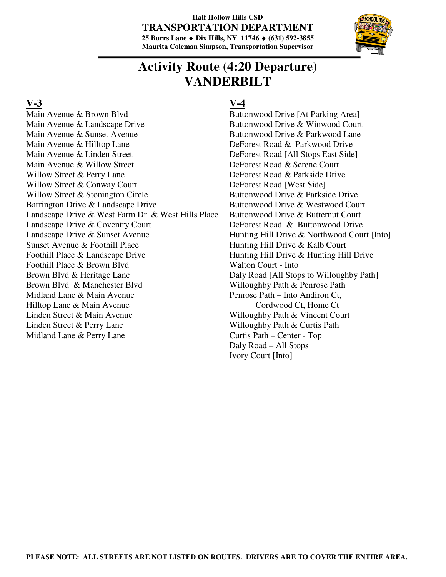

## **Activity Route (4:20 Departure) VANDERBILT**

#### **V-3**

Main Avenue & Brown Blvd Main Avenue & Landscape Drive Main Avenue & Sunset Avenue Main Avenue & Hilltop Lane Main Avenue & Linden Street Main Avenue & Willow Street Willow Street & Perry Lane Willow Street & Conway Court Willow Street & Stonington Circle Barrington Drive & Landscape Drive Landscape Drive & West Farm Dr & West Hills Place Landscape Drive & Coventry Court Landscape Drive & Sunset Avenue Sunset Avenue & Foothill Place Foothill Place & Landscape Drive Foothill Place & Brown Blvd Brown Blvd & Heritage Lane Brown Blvd & Manchester Blvd Midland Lane & Main Avenue Hilltop Lane & Main Avenue Linden Street & Main Avenue Linden Street & Perry Lane Midland Lane & Perry Lane

### **V-4**

Buttonwood Drive [At Parking Area] Buttonwood Drive & Winwood Court Buttonwood Drive & Parkwood Lane DeForest Road & Parkwood Drive DeForest Road [All Stops East Side] DeForest Road & Serene Court DeForest Road & Parkside Drive DeForest Road [West Side] Buttonwood Drive & Parkside Drive Buttonwood Drive & Westwood Court Buttonwood Drive & Butternut Court DeForest Road & Buttonwood Drive Hunting Hill Drive & Northwood Court [Into] Hunting Hill Drive & Kalb Court Hunting Hill Drive & Hunting Hill Drive Walton Court - Into Daly Road [All Stops to Willoughby Path] Willoughby Path & Penrose Path Penrose Path – Into Andiron Ct, Cordwood Ct, Home Ct Willoughby Path & Vincent Court Willoughby Path & Curtis Path Curtis Path – Center - Top Daly Road – All Stops Ivory Court [Into]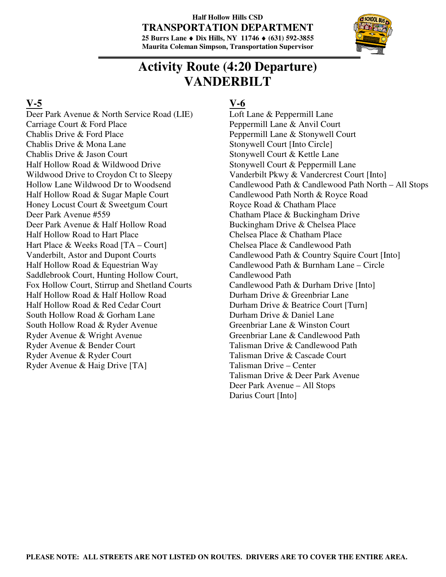

## **Activity Route (4:20 Departure) VANDERBILT**

#### **V-5**

Deer Park Avenue & North Service Road (LIE) Carriage Court & Ford Place Chablis Drive & Ford Place Chablis Drive & Mona Lane Chablis Drive & Jason Court Half Hollow Road & Wildwood Drive Wildwood Drive to Croydon Ct to Sleepy Hollow Lane Wildwood Dr to Woodsend Half Hollow Road & Sugar Maple Court Honey Locust Court & Sweetgum Court Deer Park Avenue #559 Deer Park Avenue & Half Hollow Road Half Hollow Road to Hart Place Hart Place & Weeks Road [TA – Court] Vanderbilt, Astor and Dupont Courts Half Hollow Road & Equestrian Way Saddlebrook Court, Hunting Hollow Court, Fox Hollow Court, Stirrup and Shetland Courts Half Hollow Road & Half Hollow Road Half Hollow Road & Red Cedar Court South Hollow Road & Gorham Lane South Hollow Road & Ryder Avenue Ryder Avenue & Wright Avenue Ryder Avenue & Bender Court Ryder Avenue & Ryder Court Ryder Avenue & Haig Drive [TA]

### **V-6**

Loft Lane & Peppermill Lane Peppermill Lane & Anvil Court Peppermill Lane & Stonywell Court Stonywell Court [Into Circle] Stonywell Court & Kettle Lane Stonywell Court & Peppermill Lane Vanderbilt Pkwy & Vandercrest Court [Into] Candlewood Path & Candlewood Path North – All Stops Candlewood Path North & Royce Road Royce Road & Chatham Place Chatham Place & Buckingham Drive Buckingham Drive & Chelsea Place Chelsea Place & Chatham Place Chelsea Place & Candlewood Path Candlewood Path & Country Squire Court [Into] Candlewood Path & Burnham Lane – Circle Candlewood Path Candlewood Path & Durham Drive [Into] Durham Drive & Greenbriar Lane Durham Drive & Beatrice Court [Turn] Durham Drive & Daniel Lane Greenbriar Lane & Winston Court Greenbriar Lane & Candlewood Path Talisman Drive & Candlewood Path Talisman Drive & Cascade Court Talisman Drive – Center Talisman Drive & Deer Park Avenue Deer Park Avenue – All Stops Darius Court [Into]